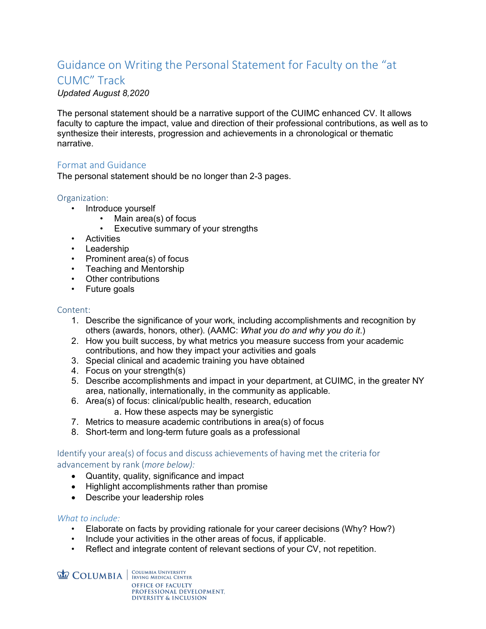# Guidance on Writing the Personal Statement for Faculty on the "at

# CUMC" Track

*Updated August 8,2020* 

The personal statement should be a narrative support of the CUIMC enhanced CV. It allows faculty to capture the impact, value and direction of their professional contributions, as well as to synthesize their interests, progression and achievements in a chronological or thematic narrative.

# Format and Guidance

The personal statement should be no longer than 2-3 pages.

#### Organization:

- Introduce yourself
	- Main area(s) of focus
	- Executive summary of your strengths
- Activities
- Leadership
- Prominent area(s) of focus
- Teaching and Mentorship
- Other contributions
- Future goals

#### Content:

- 1. Describe the significance of your work, including accomplishments and recognition by others (awards, honors, other). (AAMC: *What you do and why you do it*.)
- 2. How you built success, by what metrics you measure success from your academic contributions, and how they impact your activities and goals
- 3. Special clinical and academic training you have obtained
- 4. Focus on your strength(s)
- 5. Describe accomplishments and impact in your department, at CUIMC, in the greater NY area, nationally, internationally, in the community as applicable.
- 6. Area(s) of focus: clinical/public health, research, education
	- a. How these aspects may be synergistic
- 7. Metrics to measure academic contributions in area(s) of focus
- 8. Short-term and long-term future goals as a professional

Identify your area(s) of focus and discuss achievements of having met the criteria for advancement by rank (*more below):*

- Quantity, quality, significance and impact
- Highlight accomplishments rather than promise
- Describe your leadership roles

### *What to include:*

- Elaborate on facts by providing rationale for your career decisions (Why? How?)
- Include your activities in the other areas of focus, if applicable.
- Reflect and integrate content of relevant sections of your CV, not repetition.

**COLUMBIA** EQUINBIA EXPLORE CENTER **OFFICE OF FACULTY** PROFESSIONAL DEVELOPMENT. **DIVERSITY & INCLUSION**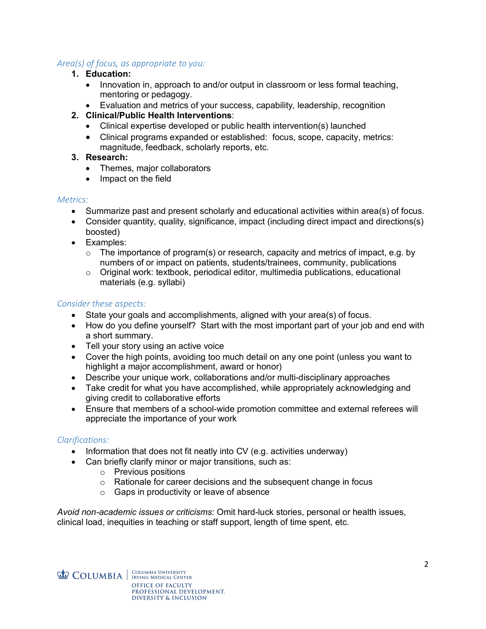# *Area(s) of focus, as appropriate to you:*

- **1. Education:**
	- Innovation in, approach to and/or output in classroom or less formal teaching, mentoring or pedagogy.
	- Evaluation and metrics of your success, capability, leadership, recognition

# **2. Clinical/Public Health Interventions**:

- Clinical expertise developed or public health intervention(s) launched
- Clinical programs expanded or established: focus, scope, capacity, metrics: magnitude, feedback, scholarly reports, etc.

# **3. Research:**

- Themes, major collaborators
- Impact on the field

# *Metrics:*

- Summarize past and present scholarly and educational activities within area(s) of focus.
- Consider quantity, quality, significance, impact (including direct impact and directions(s) boosted)
- Examples:
	- $\circ$  The importance of program(s) or research, capacity and metrics of impact, e.g. by numbers of or impact on patients, students/trainees, community, publications
	- $\circ$  Original work: textbook, periodical editor, multimedia publications, educational materials (e.g. syllabi)

# *Consider these aspects:*

- State your goals and accomplishments, aligned with your area(s) of focus.
- How do you define yourself? Start with the most important part of your job and end with a short summary.
- Tell your story using an active voice
- Cover the high points, avoiding too much detail on any one point (unless you want to highlight a major accomplishment, award or honor)
- Describe your unique work, collaborations and/or multi-disciplinary approaches
- Take credit for what you have accomplished, while appropriately acknowledging and giving credit to collaborative efforts
- Ensure that members of a school-wide promotion committee and external referees will appreciate the importance of your work

### *Clarifications:*

- Information that does not fit neatly into CV (e.g. activities underway)
- Can briefly clarify minor or major transitions, such as:
	- o Previous positions
	- o Rationale for career decisions and the subsequent change in focus
	- o Gaps in productivity or leave of absence

*Avoid non-academic issues or criticisms*: Omit hard-luck stories, personal or health issues, clinical load, inequities in teaching or staff support, length of time spent, etc.